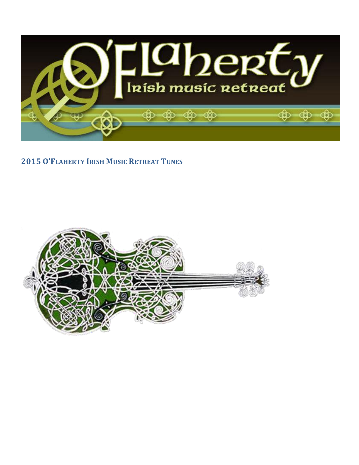

### **O'FLAHERTY IRISH MUSIC RETREAT TUNES**

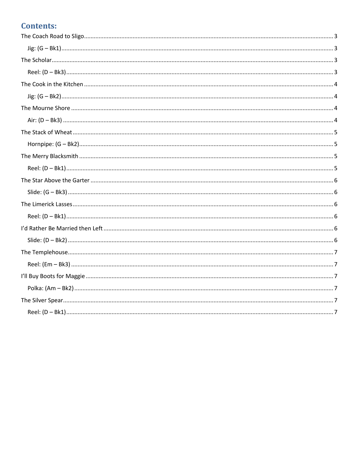## **Contents:**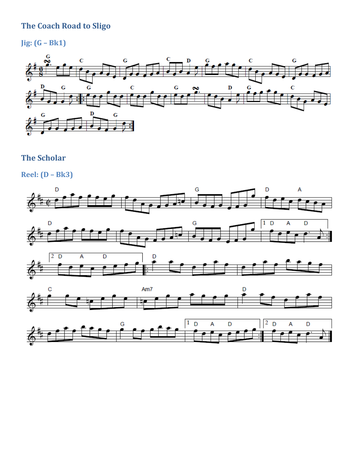## <span id="page-2-0"></span>**The Coach Road to Sligo**

<span id="page-2-1"></span>**Jig: (G – Bk1)**



## <span id="page-2-2"></span>**The Scholar**

<span id="page-2-3"></span>**Reel: (D – Bk3)**

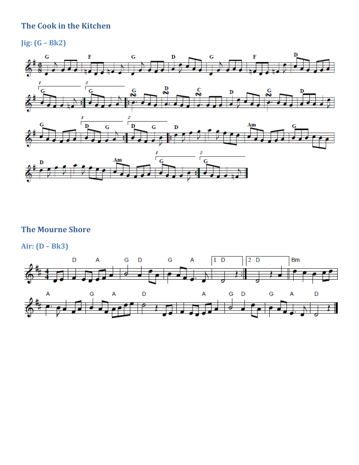## <span id="page-3-0"></span>**The Cook in the Kitchen**

<span id="page-3-1"></span>**Jig: (G – Bk2)**



## <span id="page-3-2"></span>**The Mourne Shore**

<span id="page-3-3"></span>**Air: (D – Bk3)**

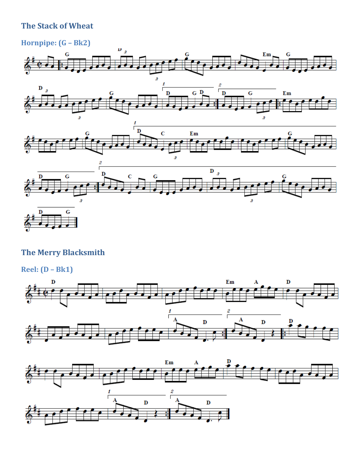## <span id="page-4-0"></span>**The Stack of Wheat**

### <span id="page-4-1"></span>**Hornpipe: (G – Bk2)**





# <span id="page-4-2"></span>**The Merry Blacksmith**

<span id="page-4-3"></span>**Reel: (D – Bk1)**



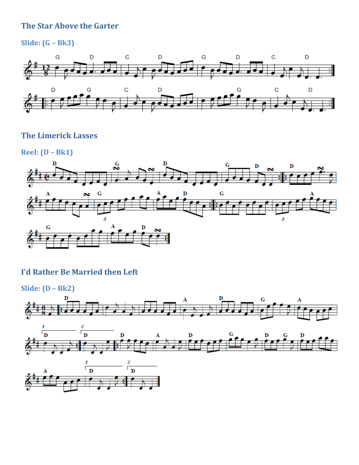### <span id="page-5-0"></span>**The Star Above the Garter**

<span id="page-5-1"></span>**Slide: (G – Bk3)**



#### <span id="page-5-2"></span>**The Limerick Lasses**

<span id="page-5-3"></span>**Reel: (D – Bk1)**



### <span id="page-5-4"></span>**I'd Rather Be Married then Left**

<span id="page-5-5"></span>**Slide: (D – Bk2)** $\overline{\phantom{a}}$  $\frac{2}{\mathbf{D}}$  $\frac{1}{\Box}$  $\overrightarrow{ }$